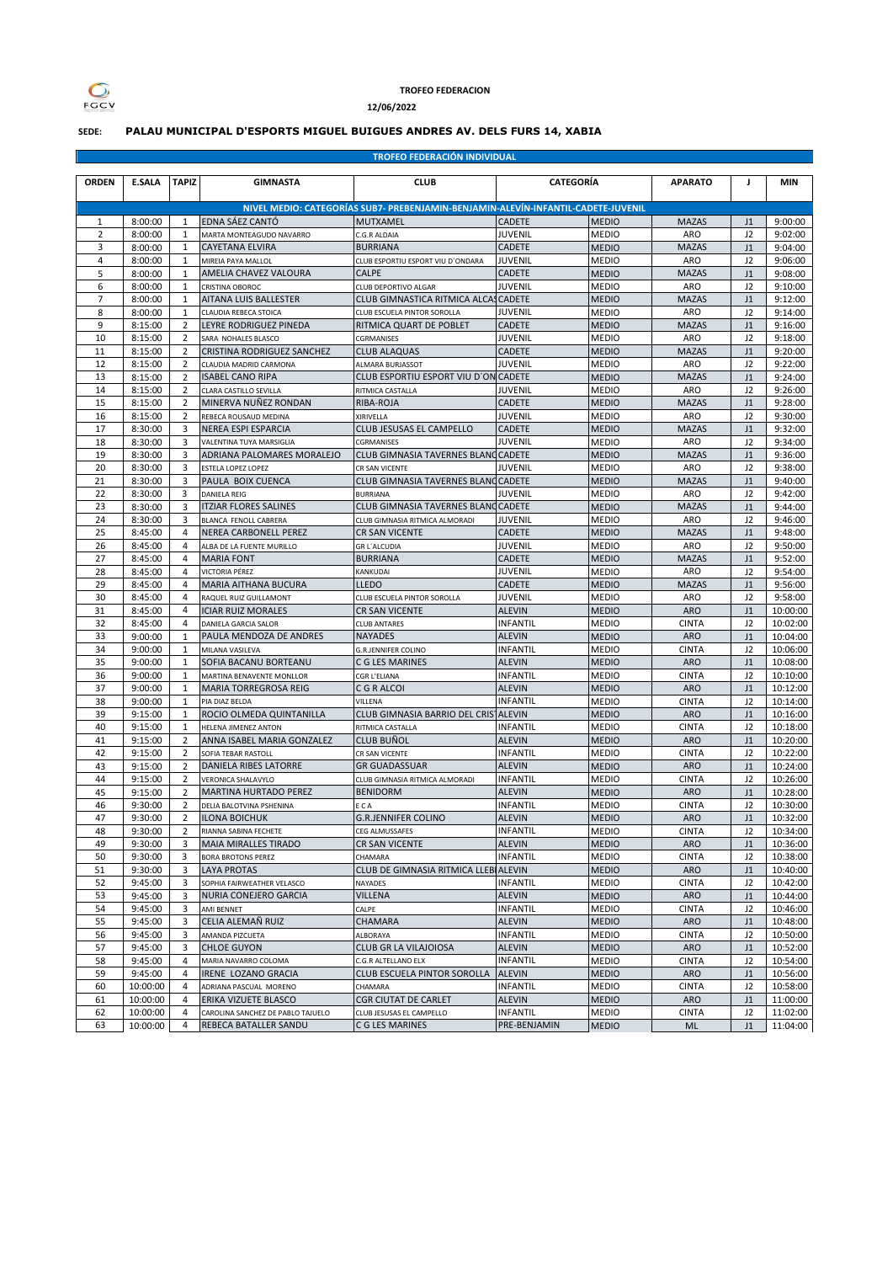

## **TROFEO FEDERACION**

**12/06/2022**

## **SEDE: PALAU MUNICIPAL D'ESPORTS MIGUEL BUIGUES ANDRÉS AV. DELS FURS 14, XABIA**

**TROFEO FEDERACIÓN INDIVIDUAL**

| <b>ORDEN</b>   | <b>E.SALA</b>      | <b>TAPIZ</b>                     | <b>GIMNASTA</b>                                    | <b>CLUB</b>                                                                       | <b>CATEGORÍA</b>                 |                              | <b>APARATO</b>             | J                          | <b>MIN</b>           |
|----------------|--------------------|----------------------------------|----------------------------------------------------|-----------------------------------------------------------------------------------|----------------------------------|------------------------------|----------------------------|----------------------------|----------------------|
|                |                    |                                  |                                                    | NIVEL MEDIO: CATEGORÍAS SUB7- PREBENJAMIN-BENJAMIN-ALEVÍN-INFANTIL-CADETE-JUVENIL |                                  |                              |                            |                            |                      |
| $\mathbf{1}$   | 8:00:00            | $\mathbf{1}$                     | EDNA SÁEZ CANTÓ                                    | <b>MUTXAMEL</b>                                                                   | <b>CADETE</b>                    | <b>MEDIO</b>                 | <b>MAZAS</b>               | J1                         | 9:00:00              |
| $\overline{2}$ | 8:00:00            | 1                                | MARTA MONTEAGUDO NAVARRO                           | C.G.R ALDAIA                                                                      | <b>JUVENIL</b>                   | <b>MEDIO</b>                 | <b>ARO</b>                 | J2                         | 9:02:00              |
| 3              | 8:00:00            | 1                                | <b>CAYETANA ELVIRA</b>                             | <b>BURRIANA</b>                                                                   | CADETE                           | <b>MEDIO</b>                 | <b>MAZAS</b>               | J1                         | 9:04:00              |
| 4              | 8:00:00            | $\mathbf{1}$                     | MIREIA PAYA MALLOL                                 | CLUB ESPORTIU ESPORT VIU D'ONDARA                                                 | <b>JUVENIL</b>                   | <b>MEDIO</b>                 | <b>ARO</b>                 | J2                         | 9:06:00              |
| 5              | 8:00:00            | $\mathbf{1}$                     | AMELIA CHAVEZ VALOURA                              | <b>CALPE</b>                                                                      | <b>CADETE</b>                    | <b>MEDIO</b>                 | <b>MAZAS</b>               | J1                         | 9:08:00              |
| 6              | 8:00:00            | 1                                | CRISTINA OBOROC                                    | CLUB DEPORTIVO ALGAR                                                              | <b>JUVENIL</b>                   | <b>MEDIO</b>                 | <b>ARO</b>                 | J2                         | 9:10:00              |
| $\overline{7}$ | 8:00:00            | $\mathbf{1}$                     | AITANA LUIS BALLESTER                              | CLUB GIMNASTICA RITMICA ALCASCADETE                                               |                                  | <b>MEDIO</b>                 | <b>MAZAS</b>               | J1                         | 9:12:00              |
| 8              | 8:00:00            | $\mathbf{1}$                     | CLAUDIA REBECA STOICA                              | CLUB ESCUELA PINTOR SOROLLA                                                       | <b>JUVENIL</b>                   | <b>MEDIO</b>                 | <b>ARO</b>                 | J2                         | 9:14:00              |
| 9              | 8:15:00            | $\overline{2}$                   | LEYRE RODRIGUEZ PINEDA                             | RITMICA QUART DE POBLET                                                           | CADETE                           | <b>MEDIO</b>                 | <b>MAZAS</b>               | J1                         | 9:16:00              |
| 10             | 8:15:00            | $\overline{2}$                   | SARA NOHALES BLASCO                                | CGRMANISES                                                                        | <b>JUVENIL</b>                   | <b>MEDIO</b>                 | <b>ARO</b>                 | J2                         | 9:18:00              |
| 11             | 8:15:00            | 2                                | CRISTINA RODRIGUEZ SANCHEZ                         | <b>CLUB ALAQUAS</b>                                                               | CADETE                           | <b>MEDIO</b>                 | <b>MAZAS</b>               | J1                         | 9:20:00              |
| 12<br>13       | 8:15:00            | 2                                | CLAUDIA MADRID CARMONA<br><b>ISABEL CANO RIPA</b>  | ALMARA BURJASSOT<br>CLUB ESPORTIU ESPORT VIU D'ON CADETE                          | <b>JUVENIL</b>                   | <b>MEDIO</b>                 | ARO<br><b>MAZAS</b>        | J2                         | 9:22:00<br>9:24:00   |
| 14             | 8:15:00<br>8:15:00 | $\overline{2}$<br>$\overline{2}$ |                                                    | RITMICA CASTALLA                                                                  | <b>JUVENIL</b>                   | <b>MEDIO</b>                 | <b>ARO</b>                 | J1<br>J2                   |                      |
| 15             | 8:15:00            | $\overline{2}$                   | CLARA CASTILLO SEVILLA<br>MINERVA NUÑEZ RONDAN     |                                                                                   | CADETE                           | <b>MEDIO</b><br><b>MEDIO</b> | <b>MAZAS</b>               | J1                         | 9:26:00<br>9:28:00   |
| 16             | 8:15:00            | $\overline{2}$                   | REBECA ROUSAUD MEDINA                              | RIBA-ROJA<br>XIRIVELLA                                                            | JUVENIL                          | <b>MEDIO</b>                 | <b>ARO</b>                 | J2                         | 9:30:00              |
| 17             | 8:30:00            | 3                                | <b>NEREA ESPI ESPARCIA</b>                         | CLUB JESUSAS EL CAMPELLO                                                          | CADETE                           | <b>MEDIO</b>                 | <b>MAZAS</b>               | J1                         | 9:32:00              |
| 18             | 8:30:00            | 3                                | VALENTINA TUYA MARSIGLIA                           | CGRMANISES                                                                        | <b>JUVENIL</b>                   | <b>MEDIO</b>                 | <b>ARO</b>                 | J2                         | 9:34:00              |
| 19             | 8:30:00            | 3                                | ADRIANA PALOMARES MORALEJO                         | CLUB GIMNASIA TAVERNES BLANCCADETE                                                |                                  | <b>MEDIO</b>                 | <b>MAZAS</b>               | J1                         | 9:36:00              |
| 20             | 8:30:00            | 3                                | <b>ESTELA LOPEZ LOPEZ</b>                          | CR SAN VICENTE                                                                    | JUVENIL                          | <b>MEDIO</b>                 | <b>ARO</b>                 | J2                         | 9:38:00              |
| 21             | 8:30:00            | 3                                | PAULA BOIX CUENCA                                  | CLUB GIMNASIA TAVERNES BLANCCADETE                                                |                                  | <b>MEDIO</b>                 | <b>MAZAS</b>               | J1                         | 9:40:00              |
| 22             | 8:30:00            | 3                                | <b>DANIELA REIG</b>                                | <b>BURRIANA</b>                                                                   | <b>JUVENIL</b>                   | <b>MEDIO</b>                 | <b>ARO</b>                 | J2                         | 9:42:00              |
| 23             | 8:30:00            | 3                                | <b>ITZIAR FLORES SALINES</b>                       | CLUB GIMNASIA TAVERNES BLANCCADETE                                                |                                  | <b>MEDIO</b>                 | <b>MAZAS</b>               | J1                         | 9:44:00              |
| 24             | 8:30:00            | 3                                | BLANCA FENOLL CABRERA                              | CLUB GIMNASIA RITMICA ALMORADI                                                    | JUVENIL                          | <b>MEDIO</b>                 | <b>ARO</b>                 | J2                         | 9:46:00              |
| 25             | 8:45:00            | 4                                | NEREA CARBONELL PEREZ                              | CR SAN VICENTE                                                                    | CADETE                           | <b>MEDIO</b>                 | <b>MAZAS</b>               | J1                         | 9:48:00              |
| 26             | 8:45:00            | 4                                | ALBA DE LA FUENTE MURILLO                          | <b>GR L'ALCUDIA</b>                                                               | <b>JUVENIL</b>                   | <b>MEDIO</b>                 | <b>ARO</b>                 | J2                         | 9:50:00              |
| 27             | 8:45:00            | 4                                | <b>MARIA FONT</b>                                  | <b>BURRIANA</b>                                                                   | CADETE                           | <b>MEDIO</b>                 | <b>MAZAS</b>               | J1                         | 9:52:00              |
| 28             | 8:45:00            | 4                                | <b>VICTORIA PÉREZ</b>                              | KANKUDAI                                                                          | JUVENIL                          | <b>MEDIO</b>                 | <b>ARO</b>                 | J2                         | 9:54:00              |
| 29             | 8:45:00            | 4                                | <b>MARIA AITHANA BUCURA</b>                        | <b>LLEDO</b>                                                                      | <b>CADETE</b>                    | <b>MEDIO</b>                 | <b>MAZAS</b>               | J1                         | 9:56:00              |
| 30             | 8:45:00            | 4                                | RAQUEL RUIZ GUILLAMONT                             | CLUB ESCUELA PINTOR SOROLLA                                                       | JUVENIL                          | <b>MEDIO</b>                 | ARO                        | J2                         | 9:58:00              |
| 31             | 8:45:00            | 4                                | <b>ICIAR RUIZ MORALES</b>                          | CR SAN VICENTE                                                                    | <b>ALEVIN</b>                    | <b>MEDIO</b>                 | <b>ARO</b>                 | J1                         | 10:00:00             |
| 32             | 8:45:00            | 4                                | DANIELA GARCIA SALOR                               | <b>CLUB ANTARES</b>                                                               | <b>INFANTIL</b>                  | <b>MEDIO</b>                 | <b>CINTA</b>               | J2                         | 10:02:00             |
| 33             | 9:00:00            | $\mathbf{1}$                     | PAULA MENDOZA DE ANDRES                            | <b>NAYADES</b>                                                                    | <b>ALEVIN</b>                    | <b>MEDIO</b>                 | <b>ARO</b>                 | J1                         | 10:04:00             |
| 34             | 9:00:00            | $\mathbf{1}$                     | MILANA VASILEVA                                    | <b>G.R.JENNIFER COLINO</b>                                                        | <b>INFANTIL</b>                  | <b>MEDIO</b>                 | <b>CINTA</b>               | J2                         | 10:06:00             |
| 35             | 9:00:00            | $\mathbf{1}$                     | SOFIA BACANU BORTEANU                              | C G LES MARINES                                                                   | <b>ALEVIN</b>                    | <b>MEDIO</b>                 | <b>ARO</b>                 | J1                         | 10:08:00             |
| 36             | 9:00:00            | $\mathbf{1}$                     | MARTINA BENAVENTE MONLLOR                          | CGR L'ELIANA                                                                      | <b>INFANTIL</b>                  | <b>MEDIO</b>                 | <b>CINTA</b>               | J2                         | 10:10:00             |
| 37             | 9:00:00            | 1                                | <b>MARIA TORREGROSA REIG</b>                       | C G R ALCOI                                                                       | <b>ALEVIN</b>                    | <b>MEDIO</b>                 | <b>ARO</b>                 | J1                         | 10:12:00             |
| 38             | 9:00:00            | $\mathbf{1}$                     | PIA DIAZ BELDA                                     | VILLENA                                                                           | <b>INFANTIL</b>                  | <b>MEDIO</b>                 | <b>CINTA</b>               | J2                         | 10:14:00             |
| 39             | 9:15:00            | $\mathbf{1}$                     | ROCIO OLMEDA QUINTANILLA                           | CLUB GIMNASIA BARRIO DEL CRISTALEVIN                                              |                                  | <b>MEDIO</b>                 | <b>ARO</b>                 | J1                         | 10:16:00             |
| 40             | 9:15:00            | $\mathbf{1}$                     | HELENA JIMENEZ ANTON                               | RITMICA CASTALLA                                                                  | <b>INFANTIL</b>                  | <b>MEDIO</b>                 | <b>CINTA</b>               | J2                         | 10:18:00             |
| 41             | 9:15:00            | $\overline{2}$                   | ANNA ISABEL MARIA GONZALEZ                         | <b>CLUB BUÑOL</b>                                                                 | <b>ALEVIN</b>                    | <b>MEDIO</b>                 | <b>ARO</b>                 | J1                         | 10:20:00             |
| 42             | 9:15:00            | $\overline{2}$                   | SOFIA TEBAR RASTOLL                                | CR SAN VICENTE                                                                    | <b>INFANTIL</b>                  | <b>MEDIO</b>                 | <b>CINTA</b>               | J2                         | 10:22:00             |
| 43             | 9:15:00            | $\overline{2}$                   | DANIELA RIBES LATORRE                              | <b>GR GUADASSUAR</b>                                                              | <b>ALEVIN</b>                    | <b>MEDIO</b>                 | <b>ARO</b>                 | J1                         | 10:24:00             |
| 44<br>45       | 9:15:00<br>9:15:00 | $\overline{2}$<br>$\overline{2}$ | VERONICA SHALAVYLO<br><b>MARTINA HURTADO PEREZ</b> | CLUB GIMNASIA RITMICA ALMORADI<br><b>BENIDORM</b>                                 | <b>INFANTIL</b>                  | <b>MEDIO</b><br><b>MEDIO</b> | <b>CINTA</b><br><b>ARO</b> | J2<br>J1                   | 10:26:00<br>10:28:00 |
| 46             | 9:30:00            | $\overline{2}$                   | DELIA BALOTVINA PSHENINA                           | ECA                                                                               | <b>ALEVIN</b><br><b>INFANTIL</b> | <b>MEDIO</b>                 | <b>CINTA</b>               | J2                         | 10:30:00             |
| 47             | 9:30:00            | $\overline{2}$                   | <b>ILONA BOICHUK</b>                               | <b>G.R.JENNIFER COLINO</b>                                                        | <b>ALEVIN</b>                    | <b>MEDIO</b>                 | <b>ARO</b>                 | J1                         | 10:32:00             |
| 48             | 9:30:00            | $\overline{2}$                   | RIANNA SABINA FECHETE                              | CEG ALMUSSAFES                                                                    | <b>INFANTIL</b>                  | <b>MEDIO</b>                 | <b>CINTA</b>               | J2                         | 10:34:00             |
| 49             | 9:30:00            | 3                                | <b>MAIA MIRALLES TIRADO</b>                        | CR SAN VICENTE                                                                    | ALEVIN                           | <b>MEDIO</b>                 | <b>ARO</b>                 | J1                         | 10:36:00             |
| 50             | 9:30:00            | 3                                | <b>BORA BROTONS PEREZ</b>                          | CHAMARA                                                                           | <b>INFANTIL</b>                  | <b>MEDIO</b>                 | <b>CINTA</b>               | J2                         | 10:38:00             |
| 51             | 9:30:00            | 3                                | <b>LAYA PROTAS</b>                                 | CLUB DE GIMNASIA RITMICA LLEBI ALEVIN                                             |                                  | <b>MEDIO</b>                 | <b>ARO</b>                 | J1                         | 10:40:00             |
| 52             | 9:45:00            | 3                                | SOPHIA FAIRWEATHER VELASCO                         | NAYADES                                                                           | <b>INFANTIL</b>                  | <b>MEDIO</b>                 | <b>CINTA</b>               | J2                         | 10:42:00             |
| 53             | 9:45:00            | 3                                | NURIA CONEJERO GARCIA                              | VILLENA                                                                           | <b>ALEVIN</b>                    | <b>MEDIO</b>                 | <b>ARO</b>                 | J1                         | 10:44:00             |
| 54             | 9:45:00            | 3                                | AMI BENNET                                         | CALPE                                                                             | <b>INFANTIL</b>                  | <b>MEDIO</b>                 | <b>CINTA</b>               | J2                         | 10:46:00             |
| 55             | 9:45:00            | 3                                | CELIA ALEMAÑ RUIZ                                  | CHAMARA                                                                           | <b>ALEVIN</b>                    | <b>MEDIO</b>                 | <b>ARO</b>                 | J1                         | 10:48:00             |
| 56             | 9:45:00            | 3                                | AMANDA PIZCUETA                                    | ALBORAYA                                                                          | <b>INFANTIL</b>                  | <b>MEDIO</b>                 | <b>CINTA</b>               | J2                         | 10:50:00             |
| 57             | 9:45:00            | 3                                | <b>CHLOE GUYON</b>                                 | CLUB GR LA VILAJOIOSA                                                             | <b>ALEVIN</b>                    | <b>MEDIO</b>                 | ARO                        | J1                         | 10:52:00             |
| 58             | 9:45:00            | 4                                | MARIA NAVARRO COLOMA                               | C.G.R ALTELLANO ELX                                                               | <b>INFANTIL</b>                  | <b>MEDIO</b>                 | <b>CINTA</b>               | J2                         | 10:54:00             |
| 59             | 9:45:00            | 4                                | IRENE LOZANO GRACIA                                | CLUB ESCUELA PINTOR SOROLLA                                                       | <b>ALEVIN</b>                    | <b>MEDIO</b>                 | <b>ARO</b>                 | $\ensuremath{\mathsf{J1}}$ | 10:56:00             |
| 60             | 10:00:00           | 4                                | ADRIANA PASCUAL MORENO                             | CHAMARA                                                                           | <b>INFANTIL</b>                  | <b>MEDIO</b>                 | <b>CINTA</b>               | J2                         | 10:58:00             |
| 61             | 10:00:00           | $\overline{4}$                   | ERIKA VIZUETE BLASCO                               | CGR CIUTAT DE CARLET                                                              | <b>ALEVIN</b>                    | <b>MEDIO</b>                 | <b>ARO</b>                 | J1                         | 11:00:00             |
| 62             | 10:00:00           | 4                                | CAROLINA SANCHEZ DE PABLO TAJUELO                  | CLUB JESUSAS EL CAMPELLO                                                          | <b>INFANTIL</b>                  | <b>MEDIO</b>                 | <b>CINTA</b>               | J2                         | 11:02:00             |
| 63             | 10:00:00           | $\overline{4}$                   | REBECA BATALLER SANDU                              | C G LES MARINES                                                                   | PRE-BENJAMIN                     | <b>MEDIO</b>                 | ML                         | $\sf J1$                   | 11:04:00             |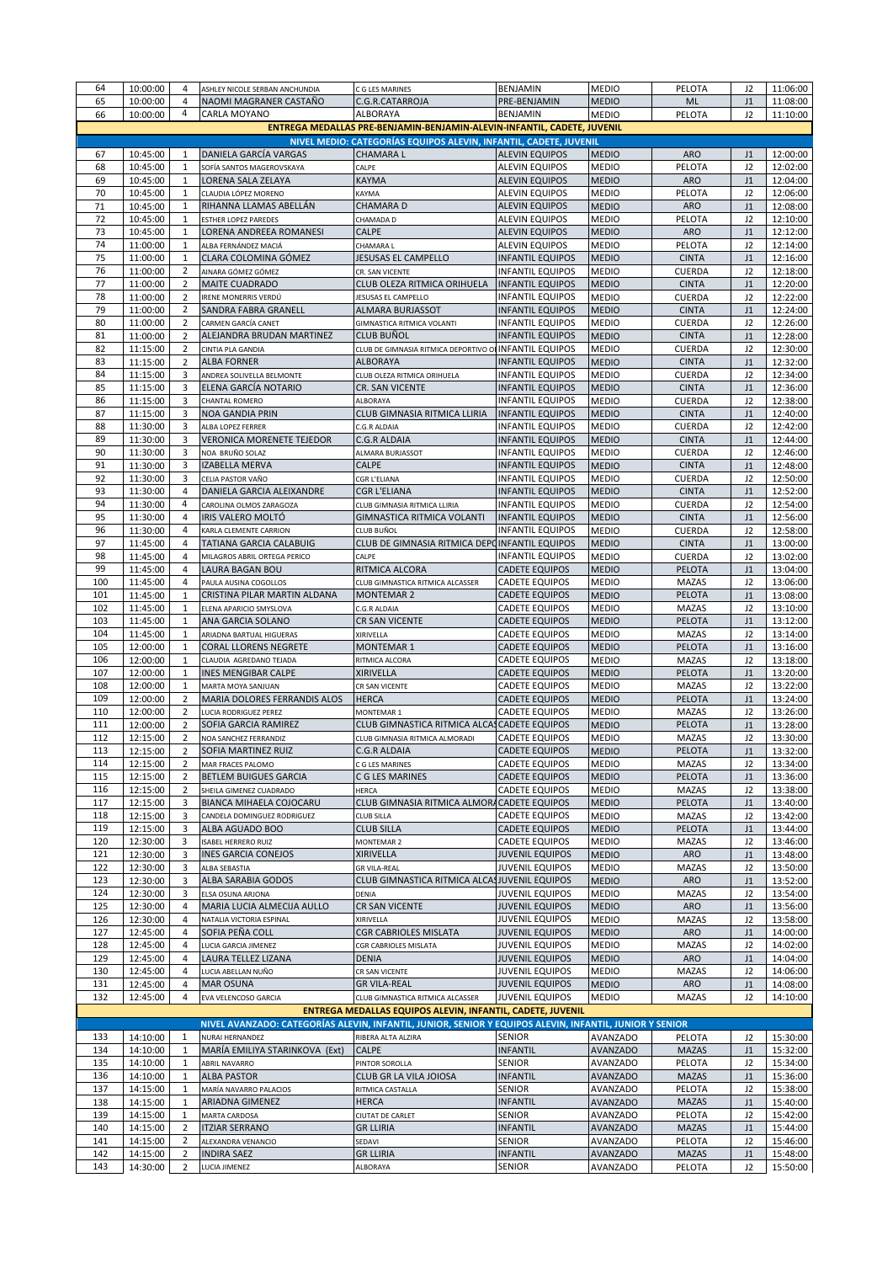| 64         | 10:00:00             | 4                                | ASHLEY NICOLE SERBAN ANCHUNDIA                                                                          | C G LES MARINES                                                                     | <b>BENJAMIN</b>                                    | <b>MEDIO</b>                       | PELOTA                     | J2             | 11:06:00             |
|------------|----------------------|----------------------------------|---------------------------------------------------------------------------------------------------------|-------------------------------------------------------------------------------------|----------------------------------------------------|------------------------------------|----------------------------|----------------|----------------------|
| 65         | 10:00:00             | 4<br>4                           | NAOMI MAGRANER CASTAÑO                                                                                  | C.G.R.CATARROJA                                                                     | PRE-BENJAMIN                                       | <b>MEDIO</b>                       | ML                         | J1             | 11:08:00             |
| 66         | 10:00:00             |                                  | CARLA MOYANO                                                                                            | ALBORAYA<br>ENTREGA MEDALLAS PRE-BENJAMIN-BENJAMIN-ALEVIN-INFANTIL, CADETE, JUVENIL | <b>BENJAMIN</b>                                    | <b>MEDIO</b>                       | PELOTA                     | J2             | 11:10:00             |
|            |                      |                                  |                                                                                                         | NIVEL MEDIO: CATEGORÍAS EQUIPOS ALEVIN, INFANTIL, CADETE, JUVENIL                   |                                                    |                                    |                            |                |                      |
| 67         | 10:45:00             | 1                                | DANIELA GARCÍA VARGAS                                                                                   | <b>CHAMARAL</b>                                                                     | <b>ALEVIN EQUIPOS</b>                              | <b>MEDIO</b>                       | <b>ARO</b>                 | J1             | 12:00:00             |
| 68         | 10:45:00             | $\mathbf{1}$                     | SOFÍA SANTOS MAGEROVSKAYA                                                                               | CALPE                                                                               | <b>ALEVIN EQUIPOS</b>                              | <b>MEDIO</b>                       | PELOTA                     | J2             | 12:02:00             |
| 69         | 10:45:00             | $\mathbf{1}$                     | LORENA SALA ZELAYA                                                                                      | KAYMA                                                                               | <b>ALEVIN EQUIPOS</b>                              | <b>MEDIO</b>                       | <b>ARO</b>                 | J1             | 12:04:00             |
| 70         | 10:45:00             | 1                                | CLAUDIA LÓPEZ MORENO                                                                                    | KAYMA                                                                               | <b>ALEVIN EQUIPOS</b>                              | <b>MEDIO</b>                       | PELOTA                     | J2             | 12:06:00             |
| 71         | 10:45:00             | $\mathbf 1$                      | RIHANNA LLAMAS ABELLÁN                                                                                  | CHAMARA D                                                                           | ALEVIN EQUIPOS                                     | <b>MEDIO</b>                       | <b>ARO</b>                 | J1             | 12:08:00             |
| 72<br>73   | 10:45:00<br>10:45:00 | $\mathbf{1}$<br>$\mathbf{1}$     | ESTHER LOPEZ PAREDES<br>LORENA ANDREEA ROMANESI                                                         | CHAMADA D<br>CALPE                                                                  | <b>ALEVIN EQUIPOS</b><br><b>ALEVIN EQUIPOS</b>     | <b>MEDIO</b><br><b>MEDIO</b>       | PELOTA<br><b>ARO</b>       | J2<br>J1       | 12:10:00<br>12:12:00 |
| 74         | 11:00:00             | 1                                | ALBA FERNÁNDEZ MACIÁ                                                                                    | CHAMARA L                                                                           | <b>ALEVIN EQUIPOS</b>                              | <b>MEDIO</b>                       | PELOTA                     | J2             | 12:14:00             |
| 75         | 11:00:00             | $\mathbf{1}$                     | CLARA COLOMINA GÓMEZ                                                                                    | JESUSAS EL CAMPELLO                                                                 | <b>INFANTIL EQUIPOS</b>                            | <b>MEDIO</b>                       | <b>CINTA</b>               | J1             | 12:16:00             |
| 76         | 11:00:00             | 2                                | AINARA GÓMEZ GÓMEZ                                                                                      | CR. SAN VICENTE                                                                     | <b>INFANTIL EQUIPOS</b>                            | <b>MEDIO</b>                       | CUERDA                     | J2             | 12:18:00             |
| 77         | 11:00:00             | $\overline{2}$                   | MAITE CUADRADO                                                                                          | CLUB OLEZA RITMICA ORIHUELA                                                         | <b>INFANTIL EQUIPOS</b>                            | <b>MEDIO</b>                       | <b>CINTA</b>               | J1             | 12:20:00             |
| 78         | 11:00:00             | $\overline{2}$                   | IRENE MONERRIS VERDÚ                                                                                    | JESUSAS EL CAMPELLO                                                                 | INFANTIL EQUIPOS                                   | <b>MEDIO</b>                       | <b>CUERDA</b>              | J <sub>2</sub> | 12:22:00             |
| 79<br>80   | 11:00:00<br>11:00:00 | $\overline{2}$<br>$\overline{2}$ | SANDRA FABRA GRANELL<br>CARMEN GARCÍA CANET                                                             | ALMARA BURJASSOT<br>GIMNASTICA RITMICA VOLANTI                                      | <b>INFANTIL EQUIPOS</b><br><b>INFANTIL EQUIPOS</b> | <b>MEDIO</b><br><b>MEDIO</b>       | <b>CINTA</b><br>CUERDA     | J1<br>J2       | 12:24:00<br>12:26:00 |
| 81         | 11:00:00             | 2                                | ALEJANDRA BRUDAN MARTINEZ                                                                               | CLUB BUÑOL                                                                          | <b>INFANTIL EQUIPOS</b>                            | <b>MEDIO</b>                       | <b>CINTA</b>               | J1             | 12:28:00             |
| 82         | 11:15:00             | 2                                | CINTIA PLA GANDIA                                                                                       | CLUB DE GIMNASIA RITMICA DEPORTIVO OI INFANTIL EQUIPOS                              |                                                    | <b>MEDIO</b>                       | CUERDA                     | J2             | 12:30:00             |
| 83         | 11:15:00             | 2                                | <b>ALBA FORNER</b>                                                                                      | <b>ALBORAYA</b>                                                                     | <b>INFANTIL EQUIPOS</b>                            | <b>MEDIO</b>                       | <b>CINTA</b>               | J1             | 12:32:00             |
| 84         | 11:15:00             | 3                                | ANDREA SOLIVELLA BELMONTE                                                                               | CLUB OLEZA RITMICA ORIHUELA                                                         | <b>INFANTIL EQUIPOS</b>                            | <b>MEDIO</b>                       | <b>CUERDA</b>              | J2             | 12:34:00             |
| 85         | 11:15:00             | 3                                | ELENA GARCÍA NOTARIO                                                                                    | CR. SAN VICENTE                                                                     | <b>INFANTIL EQUIPOS</b>                            | <b>MEDIO</b>                       | <b>CINTA</b>               | J1             | 12:36:00             |
| 86<br>87   | 11:15:00<br>11:15:00 | 3<br>3                           | CHANTAL ROMERO<br>NOA GANDIA PRIN                                                                       | ALBORAYA<br>CLUB GIMNASIA RITMICA LLIRIA                                            | <b>INFANTIL EQUIPOS</b><br><b>INFANTIL EQUIPOS</b> | <b>MEDIO</b><br><b>MEDIO</b>       | CUERDA<br><b>CINTA</b>     | J2<br>J1       | 12:38:00<br>12:40:00 |
| 88         | 11:30:00             | 3                                | ALBA LOPEZ FERRER                                                                                       | C.G.R ALDAIA                                                                        | <b>INFANTIL EQUIPOS</b>                            | <b>MEDIO</b>                       | CUERDA                     | J2             | 12:42:00             |
| 89         | 11:30:00             | 3                                | <b>VERONICA MORENETE TEJEDOR</b>                                                                        | <b>C.G.R ALDAIA</b>                                                                 | <b>INFANTIL EQUIPOS</b>                            | <b>MEDIO</b>                       | <b>CINTA</b>               | J1             | 12:44:00             |
| 90         | 11:30:00             | 3                                | NOA BRUÑO SOLAZ                                                                                         | ALMARA BURJASSOT                                                                    | <b>INFANTIL EQUIPOS</b>                            | <b>MEDIO</b>                       | CUERDA                     | J <sub>2</sub> | 12:46:00             |
| 91         | 11:30:00             | 3                                | IZABELLA MERVA                                                                                          | CALPE                                                                               | <b>INFANTIL EQUIPOS</b>                            | <b>MEDIO</b>                       | <b>CINTA</b>               | J1             | 12:48:00             |
| 92         | 11:30:00             | 3                                | CELIA PASTOR VAÑO                                                                                       | CGR L'ELIANA                                                                        | <b>INFANTIL EQUIPOS</b>                            | <b>MEDIO</b>                       | CUERDA                     | J2             | 12:50:00             |
| 93<br>94   | 11:30:00<br>11:30:00 | 4<br>4                           | DANIELA GARCIA ALEIXANDRE<br>CAROLINA OLMOS ZARAGOZA                                                    | <b>CGR L'ELIANA</b><br>CLUB GIMNASIA RITMICA LLIRIA                                 | <b>INFANTIL EQUIPOS</b>                            | <b>MEDIO</b>                       | <b>CINTA</b><br>CUERDA     | J1             | 12:52:00<br>12:54:00 |
| 95         | 11:30:00             | 4                                | IRIS VALERO MOLTÓ                                                                                       | GIMNASTICA RITMICA VOLANTI                                                          | INFANTIL EQUIPOS<br><b>INFANTIL EQUIPOS</b>        | <b>MEDIO</b><br><b>MEDIO</b>       | <b>CINTA</b>               | J2<br>J1       | 12:56:00             |
| 96         | 11:30:00             | 4                                | KARLA CLEMENTE CARRION                                                                                  | CLUB BUÑOL                                                                          | INFANTIL EQUIPOS                                   | <b>MEDIO</b>                       | CUERDA                     | J2             | 12:58:00             |
| 97         | 11:45:00             | 4                                | TATIANA GARCIA CALABUIG                                                                                 | CLUB DE GIMNASIA RITMICA DEPOINFANTIL EQUIPOS                                       |                                                    | <b>MEDIO</b>                       | <b>CINTA</b>               | J1             | 13:00:00             |
| 98         | 11:45:00             | 4                                | MILAGROS ABRIL ORTEGA PERICO                                                                            | CALPE                                                                               | <b>INFANTIL EQUIPOS</b>                            | <b>MEDIO</b>                       | CUERDA                     | J2             | 13:02:00             |
| 99         | 11:45:00             | 4                                | LAURA BAGAN BOU                                                                                         | RITMICA ALCORA                                                                      | CADETE EQUIPOS                                     | <b>MEDIO</b>                       | PELOTA                     | J1             | 13:04:00             |
| 100        | 11:45:00             | 4                                | PAULA AUSINA COGOLLOS                                                                                   | CLUB GIMNASTICA RITMICA ALCASSER                                                    | CADETE EQUIPOS                                     | <b>MEDIO</b>                       | <b>MAZAS</b>               | J <sub>2</sub> | 13:06:00             |
| 101<br>102 | 11:45:00<br>11:45:00 | 1<br>$\mathbf{1}$                | CRISTINA PILAR MARTIN ALDANA<br>ELENA APARICIO SMYSLOVA                                                 | <b>MONTEMAR 2</b><br>C.G.R ALDAIA                                                   | CADETE EQUIPOS<br>CADETE EQUIPOS                   | <b>MEDIO</b><br><b>MEDIO</b>       | PELOTA<br><b>MAZAS</b>     | J1<br>J2       | 13:08:00<br>13:10:00 |
| 103        | 11:45:00             | 1                                | ANA GARCIA SOLANO                                                                                       | CR SAN VICENTE                                                                      | CADETE EQUIPOS                                     | <b>MEDIO</b>                       | PELOTA                     | J1             | 13:12:00             |
| 104        | 11:45:00             | 1                                | ARIADNA BARTUAL HIGUERAS                                                                                | XIRIVELLA                                                                           | CADETE EQUIPOS                                     | <b>MEDIO</b>                       | <b>MAZAS</b>               | J2             | 13:14:00             |
| 105        | 12:00:00             | 1                                | CORAL LLORENS NEGRETE                                                                                   | <b>MONTEMAR 1</b>                                                                   | CADETE EQUIPOS                                     | <b>MEDIO</b>                       | PELOTA                     | J1             | 13:16:00             |
| 106        | 12:00:00             | $\mathbf{1}$                     | CLAUDIA AGREDANO TEJADA                                                                                 | RITMICA ALCORA                                                                      | CADETE EQUIPOS                                     | <b>MEDIO</b>                       | <b>MAZAS</b>               | J2             | 13:18:00             |
| 107        | 12:00:00             | 1                                | <b>INES MENGIBAR CALPE</b>                                                                              | <b>XIRIVELLA</b>                                                                    | <b>CADETE EQUIPOS</b>                              | <b>MEDIO</b>                       | PELOTA                     | J1             | 13:20:00             |
| 108<br>109 | 12:00:00<br>12:00:00 | 1<br>$\overline{2}$              | MARTA MOYA SANJUAN<br>MARIA DOLORES FERRANDIS ALOS                                                      | CR SAN VICENTE<br><b>HERCA</b>                                                      | CADETE EQUIPOS<br><b>CADETE EQUIPOS</b>            | <b>MEDIO</b><br><b>MEDIO</b>       | <b>MAZAS</b><br>PELOTA     | J2<br>J1       | 13:22:00<br>13:24:00 |
| 110        | 12:00:00             | 2                                | LUCIA RODRIGUEZ PEREZ                                                                                   | <b>MONTEMAR 1</b>                                                                   | CADETE EQUIPOS                                     | <b>MEDIO</b>                       | <b>MAZAS</b>               | J2             | 13:26:00             |
| 111        | 12:00:00             | 2                                | SOFIA GARCIA RAMIREZ                                                                                    | CLUB GIMNASTICA RITMICA ALCAS CADETE EQUIPOS                                        |                                                    | <b>MEDIO</b>                       | PELOTA                     | J1             | 13:28:00             |
| 112        | 12:15:00             | $\overline{2}$                   | NOA SANCHEZ FERRANDIZ                                                                                   | CLUB GIMNASIA RITMICA ALMORADI                                                      | CADETE EQUIPOS                                     | <b>MEDIO</b>                       | <b>MAZAS</b>               | J2             | 13:30:00             |
| 113        | 12:15:00             | $\overline{2}$                   | SOFIA MARTINEZ RUIZ                                                                                     | C.G.R ALDAIA                                                                        | <b>CADETE EQUIPOS</b>                              | <b>MEDIO</b>                       | PELOTA                     | J1             | 13:32:00             |
| 114        | 12:15:00             | 2                                | MAR FRACES PALOMO                                                                                       | C G LES MARINES                                                                     | CADETE EQUIPOS                                     | <b>MEDIO</b>                       | MAZAS                      | J2             | 13:34:00             |
| 115        | 12:15:00             | $\overline{2}$                   | <b>BETLEM BUIGUES GARCIA</b>                                                                            | C G LES MARINES<br><b>HERCA</b>                                                     | CADETE EQUIPOS                                     | <b>MEDIO</b>                       | PELOTA                     | J1             | 13:36:00             |
| 116<br>117 | 12:15:00<br>12:15:00 | 2<br>3                           | SHEILA GIMENEZ CUADRADO<br>BIANCA MIHAELA COJOCARU                                                      | CLUB GIMNASIA RITMICA ALMORACADETE EQUIPOS                                          | CADETE EQUIPOS                                     | <b>MEDIO</b><br><b>MEDIO</b>       | <b>MAZAS</b><br>PELOTA     | J2<br>J1       | 13:38:00<br>13:40:00 |
| 118        | 12:15:00             | 3                                | CANDELA DOMINGUEZ RODRIGUEZ                                                                             | CLUB SILLA                                                                          | CADETE EQUIPOS                                     | <b>MEDIO</b>                       | MAZAS                      | J <sub>2</sub> | 13:42:00             |
| 119        | 12:15:00             | 3                                | ALBA AGUADO BOO                                                                                         | <b>CLUB SILLA</b>                                                                   | CADETE EQUIPOS                                     | <b>MEDIO</b>                       | PELOTA                     | J1             | 13:44:00             |
| 120        | 12:30:00             | 3                                | <b>ISABEL HERRERO RUIZ</b>                                                                              | MONTEMAR 2                                                                          | CADETE EQUIPOS                                     | <b>MEDIO</b>                       | <b>MAZAS</b>               | J2             | 13:46:00             |
| 121        | 12:30:00             | 3                                | <b>INES GARCIA CONEJOS</b>                                                                              | <b>XIRIVELLA</b>                                                                    | <b>JUVENIL EQUIPOS</b>                             | <b>MEDIO</b>                       | ARO                        | J1             | 13:48:00             |
| 122<br>123 | 12:30:00             | 3<br>3                           | ALBA SEBASTIA<br>ALBA SARABIA GODOS                                                                     | <b>GR VILA-REAL</b><br>CLUB GIMNASTICA RITMICA ALCASJUVENIL EQUIPOS                 | JUVENIL EQUIPOS                                    | <b>MEDIO</b>                       | <b>MAZAS</b><br><b>ARO</b> | J <sub>2</sub> | 13:50:00             |
| 124        | 12:30:00<br>12:30:00 | 3                                | ELSA OSUNA ARJONA                                                                                       | DENIA                                                                               | JUVENIL EQUIPOS                                    | <b>MEDIO</b><br><b>MEDIO</b>       | <b>MAZAS</b>               | J1<br>J2       | 13:52:00<br>13:54:00 |
| 125        | 12:30:00             | $\overline{4}$                   | MARIA LUCIA ALMECIJA AULLO                                                                              | CR SAN VICENTE                                                                      | <b>JUVENIL EQUIPOS</b>                             | <b>MEDIO</b>                       | <b>ARO</b>                 | J1             | 13:56:00             |
| 126        | 12:30:00             | 4                                | NATALIA VICTORIA ESPINAL                                                                                | XIRIVELLA                                                                           | <b>JUVENIL EQUIPOS</b>                             | <b>MEDIO</b>                       | <b>MAZAS</b>               | J2             | 13:58:00             |
| 127        | 12:45:00             | $\overline{4}$                   | SOFIA PEÑA COLL                                                                                         | <b>CGR CABRIOLES MISLATA</b>                                                        | <b>JUVENIL EQUIPOS</b>                             | <b>MEDIO</b>                       | ARO                        | J1             | 14:00:00             |
| 128        | 12:45:00             | 4                                | LUCIA GARCIA JIMENEZ                                                                                    | CGR CABRIOLES MISLATA                                                               | JUVENIL EQUIPOS                                    | <b>MEDIO</b>                       | <b>MAZAS</b>               | J2             | 14:02:00             |
| 129        | 12:45:00             | 4                                | LAURA TELLEZ LIZANA                                                                                     | <b>DENIA</b>                                                                        | <b>JUVENIL EQUIPOS</b>                             | <b>MEDIO</b>                       | <b>ARO</b>                 | J1             | 14:04:00             |
| 130<br>131 | 12:45:00<br>12:45:00 | 4<br>4                           | LUCIA ABELLAN NUÑO<br><b>MAR OSUNA</b>                                                                  | CR SAN VICENTE<br><b>GR VILA-REAL</b>                                               | <b>JUVENIL EQUIPOS</b><br><b>JUVENIL EQUIPOS</b>   | <b>MEDIO</b><br><b>MEDIO</b>       | <b>MAZAS</b><br><b>ARO</b> | J2<br>J1       | 14:06:00<br>14:08:00 |
| 132        | 12:45:00             | 4                                | EVA VELENCOSO GARCIA                                                                                    | CLUB GIMNASTICA RITMICA ALCASSER                                                    | <b>JUVENIL EQUIPOS</b>                             | <b>MEDIO</b>                       | <b>MAZAS</b>               | J2             | 14:10:00             |
|            |                      |                                  |                                                                                                         | ENTREGA MEDALLAS EQUIPOS ALEVIN, INFANTIL, CADETE, JUVENIL                          |                                                    |                                    |                            |                |                      |
|            |                      |                                  | NIVEL AVANZADO: CATEGORÍAS ALEVIN, INFANTIL, JUNIOR, SENIOR Y EQUIPOS ALEVIN, INFANTIL, JUNIOR Y SENIOR |                                                                                     |                                                    |                                    |                            |                |                      |
| 133        | 14:10:00             | 1                                | NURAI HERNANDEZ                                                                                         | RIBERA ALTA ALZIRA                                                                  | <b>SENIOR</b>                                      | <b>AVANZADO</b>                    | PELOTA                     | J2             | 15:30:00             |
| 134        | 14:10:00             | $\mathbf{1}$                     | MARÍA EMILIYA STARINKOVA (Ext)                                                                          | CALPE                                                                               | <b>INFANTIL</b>                                    | <b>AVANZADO</b>                    | <b>MAZAS</b>               | J1             | 15:32:00             |
| 135        | 14:10:00             | $\mathbf{1}$                     | <b>ABRIL NAVARRO</b>                                                                                    | PINTOR SOROLLA                                                                      | <b>SENIOR</b>                                      | <b>AVANZADO</b>                    | PELOTA                     | J2             | 15:34:00             |
| 136<br>137 | 14:10:00<br>14:15:00 | $\mathbf{1}$<br>$\mathbf{1}$     | <b>ALBA PASTOR</b><br>MARÍA NAVARRO PALACIOS                                                            | CLUB GR LA VILA JOIOSA<br>RITMICA CASTALLA                                          | <b>INFANTIL</b><br>SENIOR                          | <b>AVANZADO</b><br><b>AVANZADO</b> | <b>MAZAS</b><br>PELOTA     | J1<br>J2       | 15:36:00<br>15:38:00 |
| 138        | 14:15:00             | $\mathbf{1}$                     | ARIADNA GIMENEZ                                                                                         | <b>HERCA</b>                                                                        | <b>INFANTIL</b>                                    | <b>AVANZADO</b>                    | <b>MAZAS</b>               | J1             | 15:40:00             |
| 139        | 14:15:00             | $\mathbf{1}$                     | MARTA CARDOSA                                                                                           | CIUTAT DE CARLET                                                                    | SENIOR                                             | <b>AVANZADO</b>                    | PELOTA                     | J2             | 15:42:00             |
| 140        | 14:15:00             | $\overline{2}$                   | <b>ITZIAR SERRANO</b>                                                                                   | <b>GR LLIRIA</b>                                                                    | <b>INFANTIL</b>                                    | <b>AVANZADO</b>                    | <b>MAZAS</b>               | J1             | 15:44:00             |
| 141        | 14:15:00             | 2                                | ALEXANDRA VENANCIO                                                                                      | SEDAVI                                                                              | <b>SENIOR</b>                                      | <b>AVANZADO</b>                    | PELOTA                     | J2             | 15:46:00             |
| 142        | 14:15:00             | $\overline{2}$                   | <b>INDIRA SAEZ</b>                                                                                      | <b>GR LLIRIA</b>                                                                    | <b>INFANTIL</b>                                    | <b>AVANZADO</b>                    | <b>MAZAS</b>               | J1             | 15:48:00             |
| 143        | 14:30:00             | $\overline{2}$                   | LUCIA JIMENEZ                                                                                           | ALBORAYA                                                                            | <b>SENIOR</b>                                      | <b>AVANZADO</b>                    | PELOTA                     | J2             | 15:50:00             |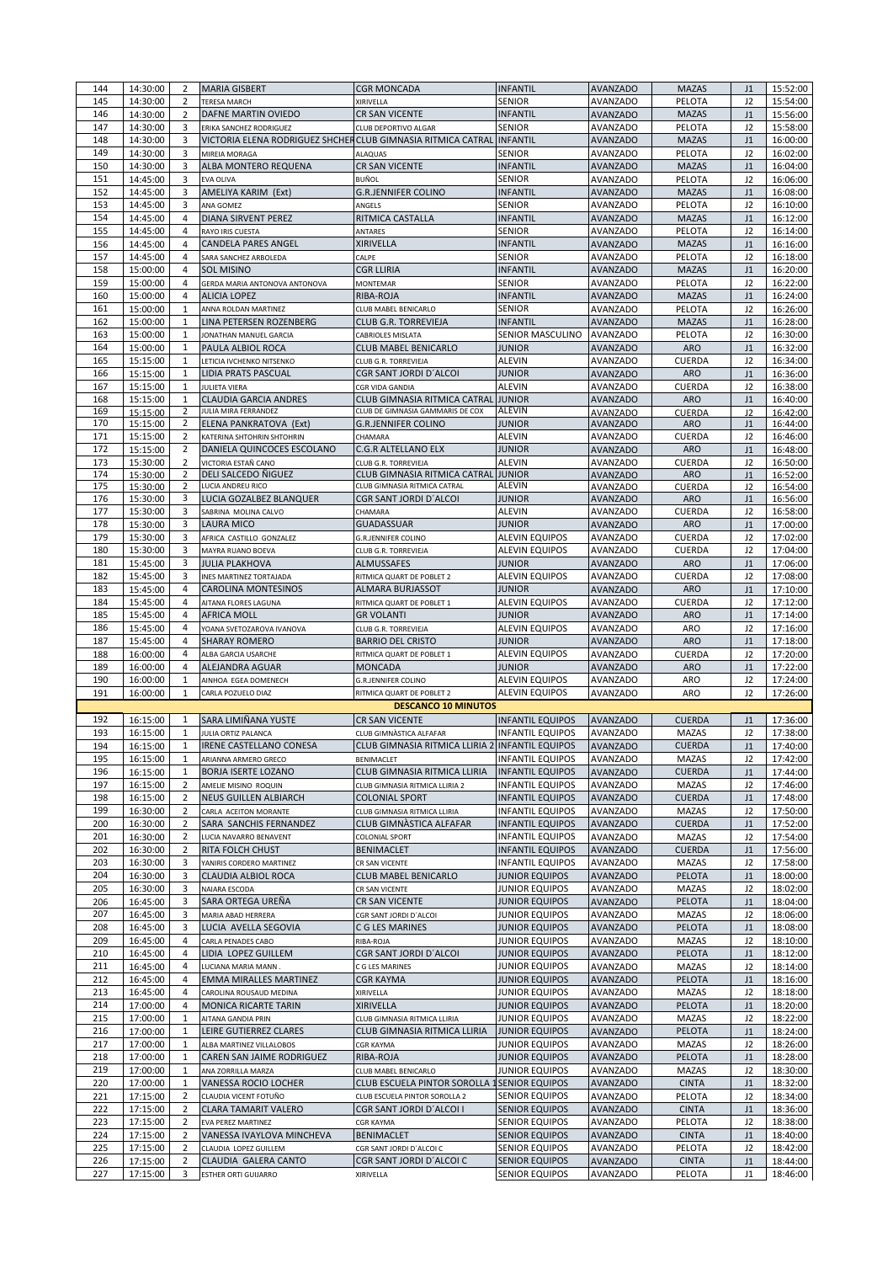| 144        | 14:30:00             | 2                                | <b>MARIA GISBERT</b>                                                 | CGR MONCADA                                      | <b>INFANTIL</b>                                    | <b>AVANZADO</b>                    | <b>MAZAS</b>                  | J1                   | 15:52:00             |
|------------|----------------------|----------------------------------|----------------------------------------------------------------------|--------------------------------------------------|----------------------------------------------------|------------------------------------|-------------------------------|----------------------|----------------------|
| 145<br>146 | 14:30:00             | 2<br>2                           | <b>TERESA MARCH</b><br>DAFNE MARTIN OVIEDO                           | XIRIVELLA<br>CR SAN VICENTE                      | SENIOR<br><b>INFANTIL</b>                          | AVANZADO                           | PELOTA<br><b>MAZAS</b>        | J2                   | 15:54:00             |
| 147        | 14:30:00<br>14:30:00 | 3                                | ERIKA SANCHEZ RODRIGUEZ                                              | CLUB DEPORTIVO ALGAR                             | <b>SENIOR</b>                                      | <b>AVANZADO</b><br><b>AVANZADO</b> | PELOTA                        | J1<br>J2             | 15:56:00<br>15:58:00 |
| 148        | 14:30:00             | 3                                | VICTORIA ELENA RODRIGUEZ SHCHERCLUB GIMNASIA RITMICA CATRAL INFANTIL |                                                  |                                                    | <b>AVANZADO</b>                    | <b>MAZAS</b>                  | J1                   | 16:00:00             |
| 149        | 14:30:00             | 3                                | MIREIA MORAGA                                                        | ALAQUAS                                          | <b>SENIOR</b>                                      | <b>AVANZADO</b>                    | PELOTA                        | J2                   | 16:02:00             |
| 150<br>151 | 14:30:00             | 3                                | ALBA MONTERO REQUENA                                                 | CR SAN VICENTE                                   | <b>INFANTIL</b>                                    | <b>AVANZADO</b>                    | <b>MAZAS</b>                  | J1                   | 16:04:00             |
| 152        | 14:45:00<br>14:45:00 | 3<br>3                           | EVA OLIVA<br>AMELIYA KARIM (Ext)                                     | BUÑOL<br><b>G.R.JENNIFER COLINO</b>              | SENIOR<br><b>INFANTIL</b>                          | AVANZADO<br>AVANZADO               | PELOTA<br><b>MAZAS</b>        | J2<br>J1             | 16:06:00<br>16:08:00 |
| 153        | 14:45:00             | 3                                | ANA GOMEZ                                                            | ANGELS                                           | <b>SENIOR</b>                                      | AVANZADO                           | PELOTA                        | J2                   | 16:10:00             |
| 154        | 14:45:00             | 4                                | DIANA SIRVENT PEREZ                                                  | RITMICA CASTALLA                                 | <b>INFANTIL</b>                                    | <b>AVANZADO</b>                    | <b>MAZAS</b>                  | J1                   | 16:12:00             |
| 155        | 14:45:00             | 4                                | RAYO IRIS CUESTA                                                     | ANTARES                                          | <b>SENIOR</b>                                      | AVANZADO                           | PELOTA                        | J2                   | 16:14:00             |
| 156<br>157 | 14:45:00             | 4<br>4                           | <b>CANDELA PARES ANGEL</b><br>SARA SANCHEZ ARBOLEDA                  | XIRIVELLA<br>CALPE                               | <b>INFANTIL</b><br><b>SENIOR</b>                   | <b>AVANZADO</b><br><b>AVANZADO</b> | <b>MAZAS</b><br>PELOTA        | J1<br>J2             | 16:16:00<br>16:18:00 |
| 158        | 14:45:00<br>15:00:00 | 4                                | <b>SOL MISINO</b>                                                    | CGR LLIRIA                                       | INFANTIL                                           | <b>AVANZADO</b>                    | <b>MAZAS</b>                  | J1                   | 16:20:00             |
| 159        | 15:00:00             | 4                                | GERDA MARIA ANTONOVA ANTONOVA                                        | <b>MONTEMAR</b>                                  | <b>SENIOR</b>                                      | AVANZADO                           | PELOTA                        | J2                   | 16:22:00             |
| 160        | 15:00:00             | 4                                | <b>ALICIA LOPEZ</b>                                                  | RIBA-ROJA                                        | <b>INFANTIL</b>                                    | AVANZADO                           | <b>MAZAS</b>                  | J1                   | 16:24:00             |
| 161        | 15:00:00             | $\mathbf{1}$                     | ANNA ROLDAN MARTINEZ                                                 | CLUB MABEL BENICARLO                             | <b>SENIOR</b>                                      | AVANZADO                           | PELOTA                        | J2                   | 16:26:00             |
| 162<br>163 | 15:00:00<br>15:00:00 | $\mathbf{1}$<br>1                | LINA PETERSEN ROZENBERG<br>JONATHAN MANUEL GARCIA                    | CLUB G.R. TORREVIEJA<br>CABRIOLES MISLATA        | <b>INFANTIL</b><br>SENIOR MASCULINO                | AVANZADO<br><b>AVANZADO</b>        | <b>MAZAS</b><br>PELOTA        | J1<br>J <sub>2</sub> | 16:28:00<br>16:30:00 |
| 164        | 15:00:00             | $\mathbf{1}$                     | PAULA ALBIOL ROCA                                                    | CLUB MABEL BENICARLO                             | <b>JUNIOR</b>                                      | <b>AVANZADO</b>                    | <b>ARO</b>                    | J1                   | 16:32:00             |
| 165        | 15:15:00             | $\mathbf{1}$                     | LETICIA IVCHENKO NITSENKO                                            | CLUB G.R. TORREVIEJA                             | <b>ALEVIN</b>                                      | AVANZADO                           | CUERDA                        | J <sub>2</sub>       | 16:34:00             |
| 166        | 15:15:00             | $\mathbf{1}$                     | LIDIA PRATS PASCUAL                                                  | CGR SANT JORDI D'ALCOI                           | JUNIOR                                             | <b>AVANZADO</b>                    | <b>ARO</b>                    | J1                   | 16:36:00             |
| 167<br>168 | 15:15:00<br>15:15:00 | $\mathbf{1}$<br>$\mathbf{1}$     | <b>JULIETA VIERA</b><br><b>CLAUDIA GARCIA ANDRES</b>                 | CGR VIDA GANDIA<br>CLUB GIMNASIA RITMICA CATRAL  | <b>ALEVIN</b><br><b>JUNIOR</b>                     | AVANZADO                           | CUERDA<br><b>ARO</b>          | J2<br>J1             | 16:38:00<br>16:40:00 |
| 169        | 15:15:00             | 2                                | JULIA MIRA FERRANDEZ                                                 | CLUB DE GIMNASIA GAMMARIS DE COX                 | ALEVIN                                             | <b>AVANZADO</b><br><b>AVANZADO</b> | <b>CUERDA</b>                 | J2                   | 16:42:00             |
| 170        | 15:15:00             | 2                                | ELENA PANKRATOVA (Ext)                                               | <b>G.R.JENNIFER COLINO</b>                       | <b>JUNIOR</b>                                      | <b>AVANZADO</b>                    | <b>ARO</b>                    | J1                   | 16:44:00             |
| 171        | 15:15:00             | $\overline{2}$                   | KATERINA SHTOHRIN SHTOHRIN                                           | CHAMARA                                          | <b>ALEVIN</b>                                      | <b>AVANZADO</b>                    | CUERDA                        | J2                   | 16:46:00             |
| 172<br>173 | 15:15:00<br>15:30:00 | $\overline{2}$<br>2              | DANIELA QUINCOCES ESCOLANO<br>VICTORIA ESTAÑ CANO                    | C.G.R ALTELLANO ELX<br>CLUB G.R. TORREVIEJA      | JUNIOR<br><b>ALEVIN</b>                            | <b>AVANZADO</b><br>AVANZADO        | <b>ARO</b><br><b>CUERDA</b>   | J1<br>J2             | 16:48:00<br>16:50:00 |
| 174        | 15:30:00             | $\overline{2}$                   | DELI SALCEDO NIGUEZ                                                  | CLUB GIMNASIA RITMICA CATRAL                     | <b>JUNIOR</b>                                      | <b>AVANZADO</b>                    | <b>ARO</b>                    | J1                   | 16:52:00             |
| 175        | 15:30:00             | 2                                | LUCIA ANDREU RICO                                                    | CLUB GIMNASIA RITMICA CATRAL                     | <b>ALEVIN</b>                                      | <b>AVANZADO</b>                    | <b>CUERDA</b>                 | J <sub>2</sub>       | 16:54:00             |
| 176        | 15:30:00             | 3<br>3                           | LUCIA GOZALBEZ BLANQUER                                              | CGR SANT JORDI D'ALCOI                           | JUNIOR                                             | <b>AVANZADO</b>                    | <b>ARO</b>                    | J1                   | 16:56:00             |
| 177<br>178 | 15:30:00<br>15:30:00 | 3                                | SABRINA MOLINA CALVO<br><b>LAURA MICO</b>                            | CHAMARA<br>GUADASSUAR                            | <b>ALEVIN</b><br><b>JUNIOR</b>                     | <b>AVANZADO</b><br>AVANZADO        | <b>CUERDA</b><br><b>ARO</b>   | J <sub>2</sub><br>J1 | 16:58:00<br>17:00:00 |
| 179        | 15:30:00             | 3                                | AFRICA CASTILLO GONZALEZ                                             | <b>G.R.JENNIFER COLINO</b>                       | ALEVIN EQUIPOS                                     | <b>AVANZADO</b>                    | CUERDA                        | J <sub>2</sub>       | 17:02:00             |
| 180        | 15:30:00             | 3                                | MAYRA RUANO BOEVA                                                    | CLUB G.R. TORREVIEJA                             | <b>ALEVIN EQUIPOS</b>                              | <b>AVANZADO</b>                    | <b>CUERDA</b>                 | J2                   | 17:04:00             |
| 181        | 15:45:00             | 3                                | <b>JULIA PLAKHOVA</b>                                                | <b>ALMUSSAFES</b>                                | <b>JUNIOR</b>                                      | <b>AVANZADO</b>                    | <b>ARO</b>                    | J1                   | 17:06:00             |
| 182<br>183 | 15:45:00<br>15:45:00 | 3<br>4                           | INES MARTINEZ TORTAJADA<br>CAROLINA MONTESINOS                       | RITMICA QUART DE POBLET 2<br>ALMARA BURJASSOT    | <b>ALEVIN EQUIPOS</b><br><b>JUNIOR</b>             | <b>AVANZADO</b><br><b>AVANZADO</b> | CUERDA<br><b>ARO</b>          | J2<br>J1             | 17:08:00<br>17:10:00 |
| 184        | 15:45:00             | 4                                | AITANA FLORES LAGUNA                                                 | RITMICA QUART DE POBLET 1                        | <b>ALEVIN EQUIPOS</b>                              | <b>AVANZADO</b>                    | <b>CUERDA</b>                 | J2                   | 17:12:00             |
| 185        | 15:45:00             | 4                                | <b>AFRICA MOLL</b>                                                   | GR VOLANTI                                       | <b>JUNIOR</b>                                      | AVANZADO                           | <b>ARO</b>                    | J1                   | 17:14:00             |
| 186        | 15:45:00             | 4                                | YOANA SVETOZAROVA IVANOVA                                            | CLUB G.R. TORREVIEJA                             | <b>ALEVIN EQUIPOS</b>                              | <b>AVANZADO</b>                    | <b>ARO</b>                    | J2                   | 17:16:00             |
| 187        | 15:45:00             | 4<br>4                           | <b>SHARAY ROMERO</b>                                                 | <b>BARRIO DEL CRISTO</b>                         | <b>JUNIOR</b>                                      | <b>AVANZADO</b>                    | <b>ARO</b>                    | J1                   | 17:18:00             |
| 188<br>189 | 16:00:00<br>16:00:00 | 4                                | ALBA GARCIA USARCHE<br>ALEJANDRA AGUAR                               | RITMICA QUART DE POBLET 1<br>MONCADA             | ALEVIN EQUIPOS<br><b>JUNIOR</b>                    | <b>AVANZADO</b><br>AVANZADO        | <b>CUERDA</b><br><b>ARO</b>   | J2<br>J1             | 17:20:00<br>17:22:00 |
| 190        | 16:00:00             | $\mathbf{1}$                     | AINHOA EGEA DOMENECH                                                 | <b>G.R.JENNIFER COLINO</b>                       | <b>ALEVIN EQUIPOS</b>                              | <b>AVANZADO</b>                    | ARO                           | J2                   | 17:24:00             |
| 191        | 16:00:00             | $\mathbf{1}$                     | CARLA POZUELO DIAZ                                                   | RITMICA QUART DE POBLET 2                        | <b>ALEVIN EQUIPOS</b>                              | <b>AVANZADO</b>                    | ARO                           | J2                   | 17:26:00             |
|            |                      |                                  |                                                                      | <b>DESCANCO 10 MINUTOS</b>                       |                                                    |                                    |                               |                      |                      |
| 192<br>193 | 16:15:00<br>16:15:00 | 1<br>$\mathbf{1}$                | SARA LIMIÑANA YUSTE<br><b>JULIA ORTIZ PALANCA</b>                    | CR SAN VICENTE<br>CLUB GIMNASTICA ALFAFAR        | <b>INFANTIL EQUIPOS</b><br><b>INFANTIL EQUIPOS</b> | <b>AVANZADO</b><br><b>AVANZADO</b> | <b>CUERDA</b><br><b>MAZAS</b> | J1<br>J <sub>2</sub> | 17:36:00<br>17:38:00 |
| 194        | 16:15:00             | $\mathbf{1}$                     | IRENE CASTELLANO CONESA                                              | CLUB GIMNASIA RITMICA LLIRIA 2 INFANTIL EQUIPOS  |                                                    | <b>AVANZADO</b>                    | <b>CUERDA</b>                 | J1                   | 17:40:00             |
| 195        | 16:15:00             | 1                                | ARIANNA ARMERO GRECO                                                 | BENIMACLET                                       | <b>INFANTIL EQUIPOS</b>                            | <b>AVANZADO</b>                    | MAZAS                         | J2                   | 17:42:00             |
| 196        | 16:15:00             | $\mathbf{1}$                     | BORJA ISERTE LOZANO                                                  | CLUB GIMNASIA RITMICA LLIRIA                     | <b>INFANTIL EQUIPOS</b>                            | <b>AVANZADO</b>                    | <b>CUERDA</b>                 | J1                   | 17:44:00             |
| 197<br>198 | 16:15:00<br>16:15:00 | 2<br>$\overline{2}$              | AMELIE MISINO ROQUIN<br>NEUS GUILLEN ALBIARCH                        | CLUB GIMNASIA RITMICA LLIRIA 2<br>COLONIAL SPORT | <b>INFANTIL EQUIPOS</b><br><b>INFANTIL EQUIPOS</b> | <b>AVANZADO</b><br><b>AVANZADO</b> | <b>MAZAS</b><br><b>CUERDA</b> | J2<br>J1             | 17:46:00<br>17:48:00 |
| 199        | 16:30:00             | 2                                | CARLA ACEITON MORANTE                                                | CLUB GIMNASIA RITMICA LLIRIA                     | <b>INFANTIL EQUIPOS</b>                            | AVANZADO                           | MAZAS                         | J2                   | 17:50:00             |
| 200        | 16:30:00             | $\overline{2}$                   | SARA SANCHIS FERNANDEZ                                               | CLUB GIMNÀSTICA ALFAFAR                          | <b>INFANTIL EQUIPOS</b>                            | <b>AVANZADO</b>                    | <b>CUERDA</b>                 | J1                   | 17:52:00             |
| 201        | 16:30:00             | $\overline{2}$                   | LUCIA NAVARRO BENAVENT                                               | COLONIAL SPORT                                   | <b>INFANTIL EQUIPOS</b>                            | <b>AVANZADO</b>                    | <b>MAZAS</b>                  | J2                   | 17:54:00             |
| 202<br>203 | 16:30:00<br>16:30:00 | $\overline{2}$<br>3              | RITA FOLCH CHUST<br>YANIRIS CORDERO MARTINEZ                         | <b>BENIMACLET</b><br>CR SAN VICENTE              | <b>INFANTIL EQUIPOS</b><br><b>INFANTIL EQUIPOS</b> | <b>AVANZADO</b><br><b>AVANZADO</b> | <b>CUERDA</b><br><b>MAZAS</b> | J1<br>J2             | 17:56:00<br>17:58:00 |
| 204        | 16:30:00             | 3                                | <b>CLAUDIA ALBIOL ROCA</b>                                           | CLUB MABEL BENICARLO                             | <b>JUNIOR EQUIPOS</b>                              | <b>AVANZADO</b>                    | PELOTA                        | J1                   | 18:00:00             |
| 205        | 16:30:00             | 3                                | NAIARA ESCODA                                                        | CR SAN VICENTE                                   | <b>JUNIOR EQUIPOS</b>                              | <b>AVANZADO</b>                    | MAZAS                         | J2                   | 18:02:00             |
| 206        | 16:45:00             | 3                                | SARA ORTEGA UREÑA                                                    | CR SAN VICENTE                                   | <b>JUNIOR EQUIPOS</b>                              | <b>AVANZADO</b>                    | PELOTA                        | J1                   | 18:04:00             |
| 207<br>208 | 16:45:00<br>16:45:00 | 3<br>3                           | MARIA ABAD HERRERA<br>LUCIA AVELLA SEGOVIA                           | CGR SANT JORDI D'ALCOI<br>C G LES MARINES        | <b>JUNIOR EQUIPOS</b><br><b>JUNIOR EQUIPOS</b>     | <b>AVANZADO</b><br><b>AVANZADO</b> | MAZAS<br>PELOTA               | J <sub>2</sub><br>J1 | 18:06:00<br>18:08:00 |
| 209        | 16:45:00             | 4                                | CARLA PENADES CABO                                                   | RIBA-ROJA                                        | <b>JUNIOR EQUIPOS</b>                              | <b>AVANZADO</b>                    | MAZAS                         | J2                   | 18:10:00             |
| 210        | 16:45:00             | 4                                | LIDIA LOPEZ GUILLEM                                                  | CGR SANT JORDI D'ALCOI                           | <b>JUNIOR EQUIPOS</b>                              | <b>AVANZADO</b>                    | PELOTA                        | J1                   | 18:12:00             |
| 211        | 16:45:00             | 4                                | LUCIANA MARIA MANN                                                   | C G LES MARINES                                  | <b>JUNIOR EQUIPOS</b>                              | <b>AVANZADO</b>                    | MAZAS                         | J2                   | 18:14:00             |
| 212<br>213 | 16:45:00<br>16:45:00 | 4<br>4                           | EMMA MIRALLES MARTINEZ<br>CAROLINA ROUSAUD MEDINA                    | CGR KAYMA<br>XIRIVELLA                           | <b>JUNIOR EQUIPOS</b><br><b>JUNIOR EQUIPOS</b>     | <b>AVANZADO</b><br>AVANZADO        | PELOTA<br>MAZAS               | J1<br>J <sub>2</sub> | 18:16:00<br>18:18:00 |
| 214        | 17:00:00             | 4                                | MONICA RICARTE TARIN                                                 | XIRIVELLA                                        | <b>JUNIOR EQUIPOS</b>                              | <b>AVANZADO</b>                    | PELOTA                        | J1                   | 18:20:00             |
| 215        | 17:00:00             | $\mathbf{1}$                     | AITANA GANDIA PRIN                                                   | CLUB GIMNASIA RITMICA LLIRIA                     | <b>JUNIOR EQUIPOS</b>                              | <b>AVANZADO</b>                    | MAZAS                         | J2                   | 18:22:00             |
| 216        | 17:00:00             | $\mathbf{1}$                     | LEIRE GUTIERREZ CLARES                                               | CLUB GIMNASIA RITMICA LLIRIA                     | <b>JUNIOR EQUIPOS</b>                              | <b>AVANZADO</b>                    | PELOTA                        | J1                   | 18:24:00             |
| 217        | 17:00:00             | $\mathbf{1}$                     | ALBA MARTINEZ VILLALOBOS                                             | CGR KAYMA<br>RIBA-ROJA                           | <b>JUNIOR EQUIPOS</b>                              | AVANZADO                           | <b>MAZAS</b>                  | J2                   | 18:26:00             |
| 218<br>219 | 17:00:00<br>17:00:00 | $\mathbf{1}$<br>$\mathbf{1}$     | CAREN SAN JAIME RODRIGUEZ<br>ANA ZORRILLA MARZA                      | CLUB MABEL BENICARLO                             | <b>JUNIOR EQUIPOS</b><br><b>JUNIOR EQUIPOS</b>     | <b>AVANZADO</b><br>AVANZADO        | PELOTA<br>MAZAS               | J1<br>J2             | 18:28:00<br>18:30:00 |
| 220        | 17:00:00             | $\mathbf{1}$                     | VANESSA ROCIO LOCHER                                                 | CLUB ESCUELA PINTOR SOROLLA 1                    | <b>SENIOR EQUIPOS</b>                              | AVANZADO                           | <b>CINTA</b>                  | J1                   | 18:32:00             |
| 221        | 17:15:00             | $\overline{2}$                   | CLAUDIA VICENT FOTUÑO                                                | CLUB ESCUELA PINTOR SOROLLA 2                    | <b>SENIOR EQUIPOS</b>                              | AVANZADO                           | PELOTA                        | J2                   | 18:34:00             |
| 222        | 17:15:00             | $\overline{2}$                   | CLARA TAMARIT VALERO                                                 | CGR SANT JORDI D'ALCOI I                         | <b>SENIOR EQUIPOS</b>                              | <b>AVANZADO</b>                    | <b>CINTA</b>                  | J1                   | 18:36:00             |
| 223<br>224 | 17:15:00<br>17:15:00 | $\overline{2}$<br>$\overline{2}$ | EVA PEREZ MARTINEZ<br>VANESSA IVAYLOVA MINCHEVA                      | CGR KAYMA<br><b>BENIMACLET</b>                   | <b>SENIOR EQUIPOS</b><br><b>SENIOR EQUIPOS</b>     | <b>AVANZADO</b><br><b>AVANZADO</b> | PELOTA<br><b>CINTA</b>        | J2<br>J1             | 18:38:00<br>18:40:00 |
| 225        | 17:15:00             | $\overline{2}$                   | CLAUDIA LOPEZ GUILLEM                                                | CGR SANT JORDI D'ALCOI C                         | <b>SENIOR EQUIPOS</b>                              | <b>AVANZADO</b>                    | PELOTA                        | J <sub>2</sub>       | 18:42:00             |
| 226        | 17:15:00             | $\overline{2}$                   | CLAUDIA GALERA CANTO                                                 | CGR SANT JORDI D'ALCOI C                         | <b>SENIOR EQUIPOS</b>                              | <b>AVANZADO</b>                    | <b>CINTA</b>                  | J1                   | 18:44:00             |
| 227        | 17:15:00             | 3                                | ESTHER ORTI GUIJARRO                                                 | XIRIVELLA                                        | SENIOR EQUIPOS                                     | <b>AVANZADO</b>                    | PELOTA                        | J1                   | 18:46:00             |